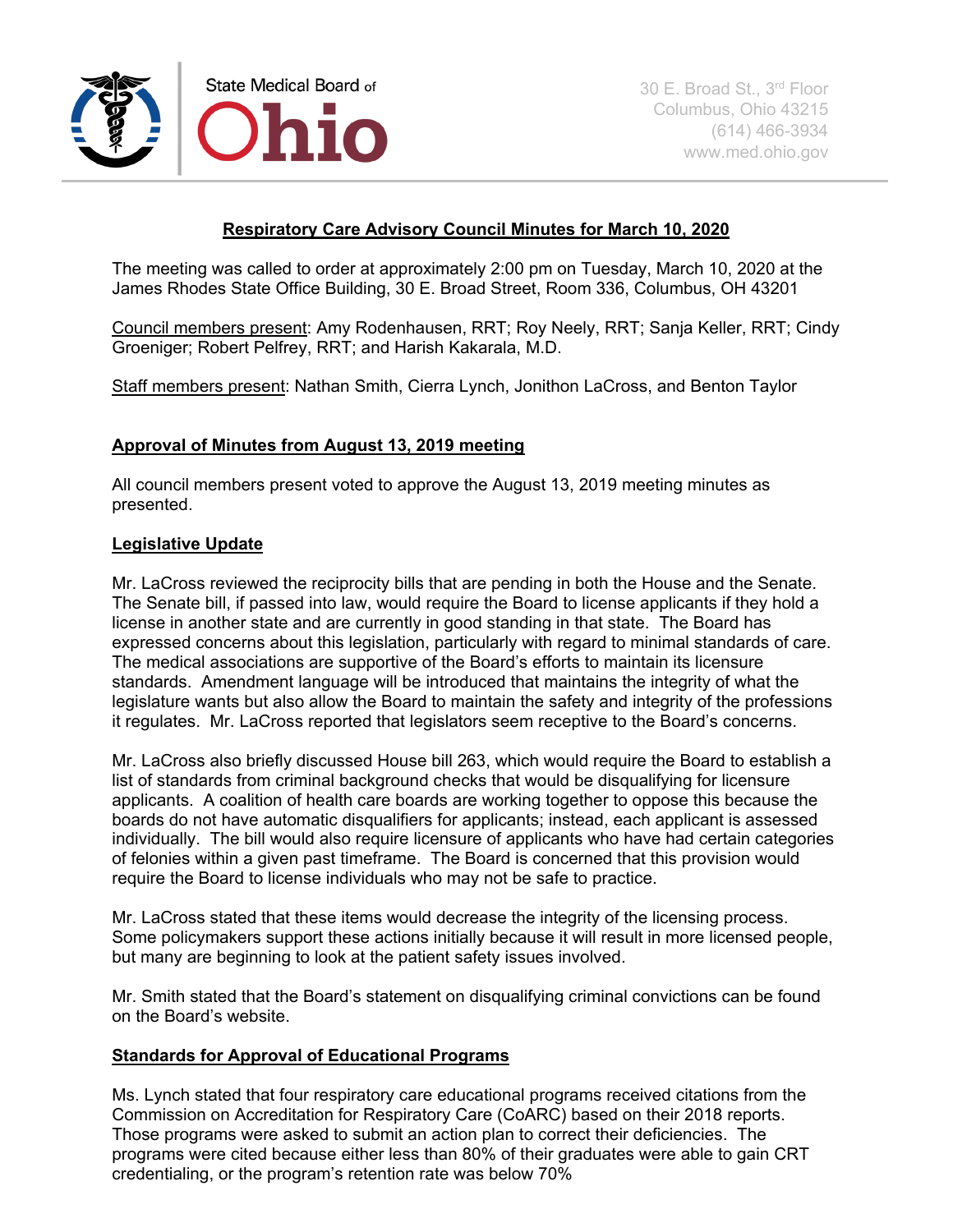

# **Respiratory Care Advisory Council Minutes for March 10, 2020**

The meeting was called to order at approximately 2:00 pm on Tuesday, March 10, 2020 at the James Rhodes State Office Building, 30 E. Broad Street, Room 336, Columbus, OH 43201

Council members present: Amy Rodenhausen, RRT; Roy Neely, RRT; Sanja Keller, RRT; Cindy Groeniger; Robert Pelfrey, RRT; and Harish Kakarala, M.D.

Staff members present: Nathan Smith, Cierra Lynch, Jonithon LaCross, and Benton Taylor

### **Approval of Minutes from August 13, 2019 meeting**

All council members present voted to approve the August 13, 2019 meeting minutes as presented.

### **Legislative Update**

Mr. LaCross reviewed the reciprocity bills that are pending in both the House and the Senate. The Senate bill, if passed into law, would require the Board to license applicants if they hold a license in another state and are currently in good standing in that state. The Board has expressed concerns about this legislation, particularly with regard to minimal standards of care. The medical associations are supportive of the Board's efforts to maintain its licensure standards. Amendment language will be introduced that maintains the integrity of what the legislature wants but also allow the Board to maintain the safety and integrity of the professions it regulates. Mr. LaCross reported that legislators seem receptive to the Board's concerns.

Mr. LaCross also briefly discussed House bill 263, which would require the Board to establish a list of standards from criminal background checks that would be disqualifying for licensure applicants. A coalition of health care boards are working together to oppose this because the boards do not have automatic disqualifiers for applicants; instead, each applicant is assessed individually. The bill would also require licensure of applicants who have had certain categories of felonies within a given past timeframe. The Board is concerned that this provision would require the Board to license individuals who may not be safe to practice.

Mr. LaCross stated that these items would decrease the integrity of the licensing process. Some policymakers support these actions initially because it will result in more licensed people, but many are beginning to look at the patient safety issues involved.

Mr. Smith stated that the Board's statement on disqualifying criminal convictions can be found on the Board's website.

#### **Standards for Approval of Educational Programs**

Ms. Lynch stated that four respiratory care educational programs received citations from the Commission on Accreditation for Respiratory Care (CoARC) based on their 2018 reports. Those programs were asked to submit an action plan to correct their deficiencies. The programs were cited because either less than 80% of their graduates were able to gain CRT credentialing, or the program's retention rate was below 70%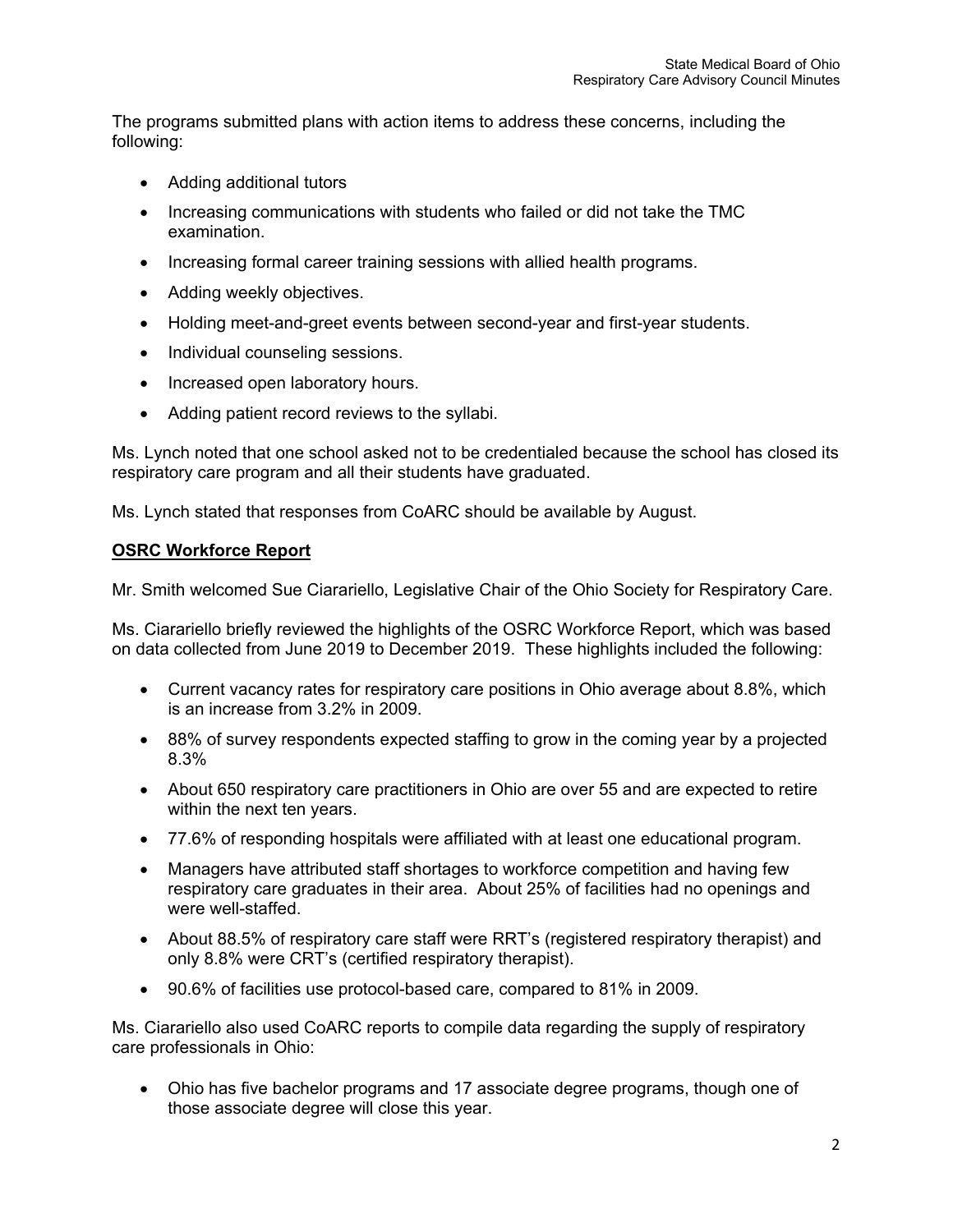The programs submitted plans with action items to address these concerns, including the following:

- Adding additional tutors
- Increasing communications with students who failed or did not take the TMC examination.
- Increasing formal career training sessions with allied health programs.
- Adding weekly objectives.
- Holding meet-and-greet events between second-year and first-year students.
- Individual counseling sessions.
- Increased open laboratory hours.
- Adding patient record reviews to the syllabi.

Ms. Lynch noted that one school asked not to be credentialed because the school has closed its respiratory care program and all their students have graduated.

Ms. Lynch stated that responses from CoARC should be available by August.

## **OSRC Workforce Report**

Mr. Smith welcomed Sue Ciarariello, Legislative Chair of the Ohio Society for Respiratory Care.

Ms. Ciarariello briefly reviewed the highlights of the OSRC Workforce Report, which was based on data collected from June 2019 to December 2019. These highlights included the following:

- Current vacancy rates for respiratory care positions in Ohio average about 8.8%, which is an increase from 3.2% in 2009.
- 88% of survey respondents expected staffing to grow in the coming year by a projected 8.3%
- About 650 respiratory care practitioners in Ohio are over 55 and are expected to retire within the next ten years.
- 77.6% of responding hospitals were affiliated with at least one educational program.
- Managers have attributed staff shortages to workforce competition and having few respiratory care graduates in their area. About 25% of facilities had no openings and were well-staffed.
- About 88.5% of respiratory care staff were RRT's (registered respiratory therapist) and only 8.8% were CRT's (certified respiratory therapist).
- 90.6% of facilities use protocol-based care, compared to 81% in 2009.

Ms. Ciarariello also used CoARC reports to compile data regarding the supply of respiratory care professionals in Ohio:

• Ohio has five bachelor programs and 17 associate degree programs, though one of those associate degree will close this year.